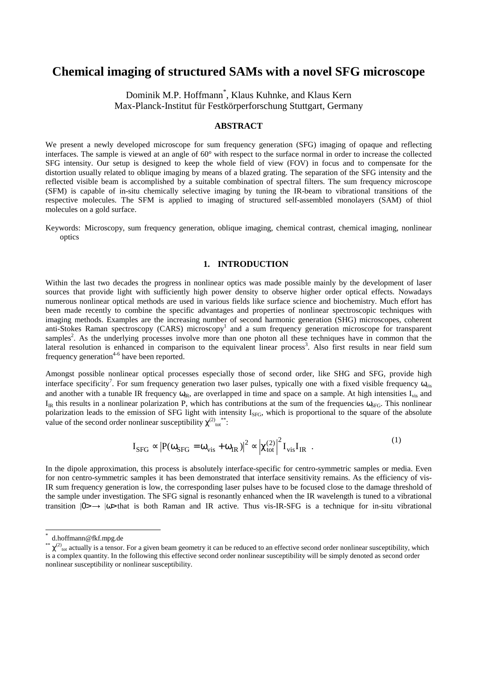# **Chemical imaging of structured SAMs with a novel SFG microscope**

Dominik M.P. Hoffmann\* , Klaus Kuhnke, and Klaus Kern Max-Planck-Institut für Festkörperforschung Stuttgart, Germany

# **ABSTRACT**

We present a newly developed microscope for sum frequency generation (SFG) imaging of opaque and reflecting interfaces. The sample is viewed at an angle of 60° with respect to the surface normal in order to increase the collected SFG intensity. Our setup is designed to keep the whole field of view (FOV) in focus and to compensate for the distortion usually related to oblique imaging by means of a blazed grating. The separation of the SFG intensity and the reflected visible beam is accomplished by a suitable combination of spectral filters. The sum frequency microscope (SFM) is capable of in-situ chemically selective imaging by tuning the IR-beam to vibrational transitions of the respective molecules. The SFM is applied to imaging of structured self-assembled monolayers (SAM) of thiol molecules on a gold surface.

Keywords: Microscopy, sum frequency generation, oblique imaging, chemical contrast, chemical imaging, nonlinear optics

# **1. INTRODUCTION**

Within the last two decades the progress in nonlinear optics was made possible mainly by the development of laser sources that provide light with sufficiently high power density to observe higher order optical effects. Nowadays numerous nonlinear optical methods are used in various fields like surface science and biochemistry. Much effort has been made recently to combine the specific advantages and properties of nonlinear spectroscopic techniques with imaging methods. Examples are the increasing number of second harmonic generation (SHG) microscopes, coherent anti-Stokes Raman spectroscopy (CARS) microscopy<sup>1</sup> and a sum frequency generation microscope for transparent samples<sup>2</sup>. As the underlying processes involve more than one photon all these techniques have in common that the lateral resolution is enhanced in comparison to the equivalent linear process<sup>3</sup>. Also first results in near field sum frequency generation<sup>4-6</sup> have been reported.

Amongst possible nonlinear optical processes especially those of second order, like SHG and SFG, provide high interface specificity<sup>7</sup>. For sum frequency generation two laser pulses, typically one with a fixed visible frequency  $\omega_{vis}$ and another with a tunable IR frequency  $\omega_{\text{IR}}$ , are overlapped in time and space on a sample. At high intensities  $I_{\text{vis}}$  and  $I_{IR}$  this results in a nonlinear polarization P, which has contributions at the sum of the frequencies  $\omega_{SFG}$ . This nonlinear polarization leads to the emission of SFG light with intensity I<sub>SFG</sub>, which is proportional to the square of the absolute value of the second order nonlinear susceptibility  $\chi^{(2)}_{tot}$ <sup>\*\*</sup>:

$$
I_{SFG} \propto |P(\omega_{SFG} = \omega_{vis} + \omega_{IR})|^2 \propto |\chi_{tot}^{(2)}|^2 I_{vis} I_{IR} . \tag{1}
$$

In the dipole approximation, this process is absolutely interface-specific for centro-symmetric samples or media. Even for non centro-symmetric samples it has been demonstrated that interface sensitivity remains. As the efficiency of vis-IR sum frequency generation is low, the corresponding laser pulses have to be focused close to the damage threshold of the sample under investigation. The SFG signal is resonantly enhanced when the IR wavelength is tuned to a vibrational transition  $|0\rangle \rightarrow |\omega \rangle$  that is both Raman and IR active. Thus vis-IR-SFG is a technique for in-situ vibrational

 $\overline{a}$ 

d.hoffmann@fkf.mpg.de

<sup>\*\*</sup>  $\chi^{(2)}_{\text{tot}}$  actually is a tensor. For a given beam geometry it can be reduced to an effective second order nonlinear susceptibility, which is a complex quantity. In the following this effective second order nonlinear susceptibility will be simply denoted as second order nonlinear susceptibility or nonlinear susceptibility.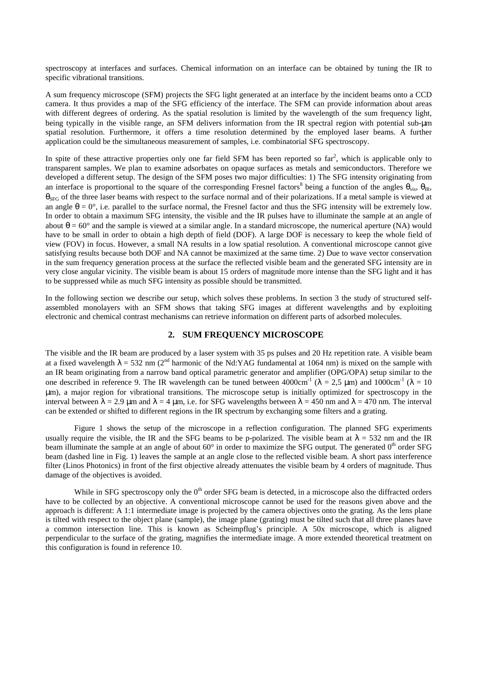spectroscopy at interfaces and surfaces. Chemical information on an interface can be obtained by tuning the IR to specific vibrational transitions.

A sum frequency microscope (SFM) projects the SFG light generated at an interface by the incident beams onto a CCD camera. It thus provides a map of the SFG efficiency of the interface. The SFM can provide information about areas with different degrees of ordering. As the spatial resolution is limited by the wavelength of the sum frequency light, being typically in the visible range, an SFM delivers information from the IR spectral region with potential sub-µm spatial resolution. Furthermore, it offers a time resolution determined by the employed laser beams. A further application could be the simultaneous measurement of samples, i.e. combinatorial SFG spectroscopy.

In spite of these attractive properties only one far field SFM has been reported so  $far^2$ , which is applicable only to transparent samples. We plan to examine adsorbates on opaque surfaces as metals and semiconductors. Therefore we developed a different setup. The design of the SFM poses two major difficulties: 1) The SFG intensity originating from an interface is proportional to the square of the corresponding Fresnel factors<sup>8</sup> being a function of the angles  $\theta_{vis}$ ,  $\theta_{IR}$ ,  $\theta_{\rm SFG}$  of the three laser beams with respect to the surface normal and of their polarizations. If a metal sample is viewed at an angle  $\theta = 0^\circ$ , i.e. parallel to the surface normal, the Fresnel factor and thus the SFG intensity will be extremely low. In order to obtain a maximum SFG intensity, the visible and the IR pulses have to illuminate the sample at an angle of about  $\theta = 60^{\circ}$  and the sample is viewed at a similar angle. In a standard microscope, the numerical aperture (NA) would have to be small in order to obtain a high depth of field (DOF). A large DOF is necessary to keep the whole field of view (FOV) in focus. However, a small NA results in a low spatial resolution. A conventional microscope cannot give satisfying results because both DOF and NA cannot be maximized at the same time. 2) Due to wave vector conservation in the sum frequency generation process at the surface the reflected visible beam and the generated SFG intensity are in very close angular vicinity. The visible beam is about 15 orders of magnitude more intense than the SFG light and it has to be suppressed while as much SFG intensity as possible should be transmitted.

In the following section we describe our setup, which solves these problems. In section 3 the study of structured selfassembled monolayers with an SFM shows that taking SFG images at different wavelengths and by exploiting electronic and chemical contrast mechanisms can retrieve information on different parts of adsorbed molecules.

# **2. SUM FREQUENCY MICROSCOPE**

The visible and the IR beam are produced by a laser system with 35 ps pulses and 20 Hz repetition rate. A visible beam at a fixed wavelength  $\lambda = 532$  nm (2<sup>nd</sup> harmonic of the Nd:YAG fundamental at 1064 nm) is mixed on the sample with an IR beam originating from a narrow band optical parametric generator and amplifier (OPG/OPA) setup similar to the one described in reference 9. The IR wavelength can be tuned between 4000cm<sup>-1</sup> ( $\lambda = 2.5$  µm) and 1000cm<sup>-1</sup> ( $\lambda = 10$ ) µm), a major region for vibrational transitions. The microscope setup is initially optimized for spectroscopy in the interval between  $\lambda = 2.9 \mu m$  and  $\lambda = 4 \mu m$ , i.e. for SFG wavelengths between  $\lambda = 450 \text{ nm}$  and  $\lambda = 470 \text{ nm}$ . The interval can be extended or shifted to different regions in the IR spectrum by exchanging some filters and a grating.

 Figure 1 shows the setup of the microscope in a reflection configuration. The planned SFG experiments usually require the visible, the IR and the SFG beams to be p-polarized. The visible beam at  $\lambda = 532$  nm and the IR beam illuminate the sample at an angle of about  $60^{\circ}$  in order to maximize the SFG output. The generated  $0^{\text{th}}$  order SFG beam (dashed line in Fig. 1) leaves the sample at an angle close to the reflected visible beam. A short pass interference filter (Linos Photonics) in front of the first objective already attenuates the visible beam by 4 orders of magnitude. Thus damage of the objectives is avoided.

While in SFG spectroscopy only the  $0<sup>th</sup>$  order SFG beam is detected, in a microscope also the diffracted orders have to be collected by an objective. A conventional microscope cannot be used for the reasons given above and the approach is different: A 1:1 intermediate image is projected by the camera objectives onto the grating. As the lens plane is tilted with respect to the object plane (sample), the image plane (grating) must be tilted such that all three planes have a common intersection line. This is known as Scheimpflug's principle. A 50x microscope, which is aligned perpendicular to the surface of the grating, magnifies the intermediate image. A more extended theoretical treatment on this configuration is found in reference 10.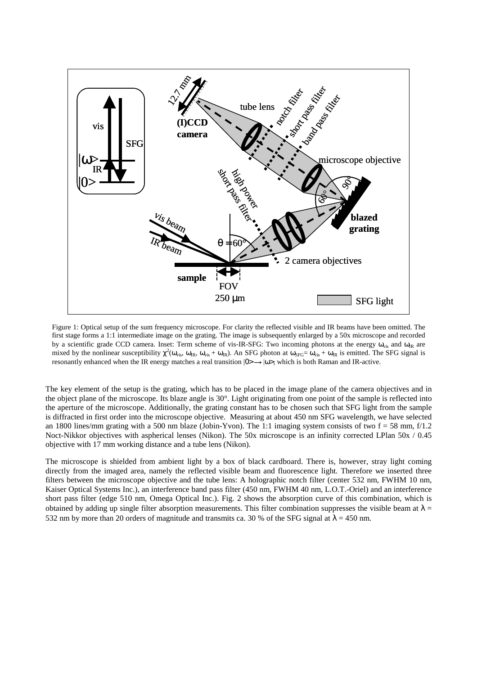

Figure 1: Optical setup of the sum frequency microscope. For clarity the reflected visible and IR beams have been omitted. The first stage forms a 1:1 intermediate image on the grating. The image is subsequently enlarged by a 50x microscope and recorded by a scientific grade CCD camera. Inset: Term scheme of vis-IR-SFG: Two incoming photons at the energy  $\omega_{vis}$  and  $\omega_{IR}$  are mixed by the nonlinear susceptibility  $\chi^2(\omega_{vis}, \omega_{IR}, \omega_{vis} + \omega_{IR})$ . An SFG photon at  $\omega_{SFG} = \omega_{vis} + \omega_{IR}$  is emitted. The SFG signal is resonantly enhanced when the IR energy matches a real transition  $|0 \rangle \rightarrow |0 \rangle$ , which is both Raman and IR-active.

The key element of the setup is the grating, which has to be placed in the image plane of the camera objectives and in the object plane of the microscope. Its blaze angle is 30°. Light originating from one point of the sample is reflected into the aperture of the microscope. Additionally, the grating constant has to be chosen such that SFG light from the sample is diffracted in first order into the microscope objective. Measuring at about 450 nm SFG wavelength, we have selected an 1800 lines/mm grating with a 500 nm blaze (Jobin-Yvon). The 1:1 imaging system consists of two  $f = 58$  mm,  $f/1.2$ Noct-Nikkor objectives with aspherical lenses (Nikon). The 50x microscope is an infinity corrected LPlan 50x / 0.45 objective with 17 mm working distance and a tube lens (Nikon).

The microscope is shielded from ambient light by a box of black cardboard. There is, however, stray light coming directly from the imaged area, namely the reflected visible beam and fluorescence light. Therefore we inserted three filters between the microscope objective and the tube lens: A holographic notch filter (center 532 nm, FWHM 10 nm, Kaiser Optical Systems Inc.), an interference band pass filter (450 nm, FWHM 40 nm, L.O.T.-Oriel) and an interference short pass filter (edge 510 nm, Omega Optical Inc.). Fig. 2 shows the absorption curve of this combination, which is obtained by adding up single filter absorption measurements. This filter combination suppresses the visible beam at  $\lambda =$ 532 nm by more than 20 orders of magnitude and transmits ca. 30 % of the SFG signal at  $\lambda$  = 450 nm.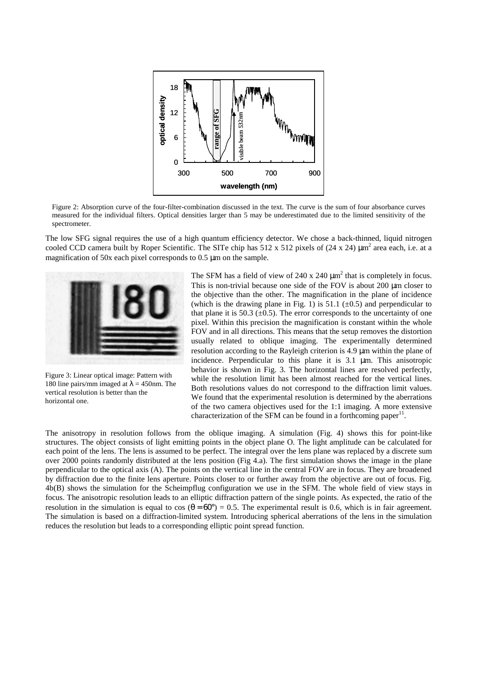

Figure 2: Absorption curve of the four-filter-combination discussed in the text. The curve is the sum of four absorbance curves measured for the individual filters. Optical densities larger than 5 may be underestimated due to the limited sensitivity of the spectrometer.

The low SFG signal requires the use of a high quantum efficiency detector. We chose a back-thinned, liquid nitrogen cooled CCD camera built by Roper Scientific. The SITe chip has  $512 \times 512$  pixels of  $(24 \times 24) \mu m^2$  area each, i.e. at a magnification of 50x each pixel corresponds to 0.5 µm on the sample.



Figure 3: Linear optical image: Pattern with 180 line pairs/mm imaged at  $\lambda = 450$ nm. The vertical resolution is better than the horizontal one.

The SFM has a field of view of 240 x 240  $\mu$ m<sup>2</sup> that is completely in focus. This is non-trivial because one side of the FOV is about 200 µm closer to the objective than the other. The magnification in the plane of incidence (which is the drawing plane in Fig. 1) is 51.1 ( $\pm$ 0.5) and perpendicular to that plane it is 50.3  $(\pm 0.5)$ . The error corresponds to the uncertainty of one pixel. Within this precision the magnification is constant within the whole FOV and in all directions. This means that the setup removes the distortion usually related to oblique imaging. The experimentally determined resolution according to the Rayleigh criterion is 4.9 µm within the plane of incidence. Perpendicular to this plane it is 3.1 µm. This anisotropic behavior is shown in Fig. 3. The horizontal lines are resolved perfectly, while the resolution limit has been almost reached for the vertical lines. Both resolutions values do not correspond to the diffraction limit values. We found that the experimental resolution is determined by the aberrations of the two camera objectives used for the 1:1 imaging. A more extensive characterization of the SFM can be found in a forthcoming paper<sup>11</sup>.

The anisotropy in resolution follows from the oblique imaging. A simulation (Fig. 4) shows this for point-like structures. The object consists of light emitting points in the object plane O. The light amplitude can be calculated for each point of the lens. The lens is assumed to be perfect. The integral over the lens plane was replaced by a discrete sum over 2000 points randomly distributed at the lens position (Fig 4.a). The first simulation shows the image in the plane perpendicular to the optical axis (A). The points on the vertical line in the central FOV are in focus. They are broadened by diffraction due to the finite lens aperture. Points closer to or further away from the objective are out of focus. Fig. 4b(B) shows the simulation for the Scheimpflug configuration we use in the SFM. The whole field of view stays in focus. The anisotropic resolution leads to an elliptic diffraction pattern of the single points. As expected, the ratio of the resolution in the simulation is equal to cos  $(\theta = 60^{\circ}) = 0.5$ . The experimental result is 0.6, which is in fair agreement. The simulation is based on a diffraction-limited system. Introducing spherical aberrations of the lens in the simulation reduces the resolution but leads to a corresponding elliptic point spread function.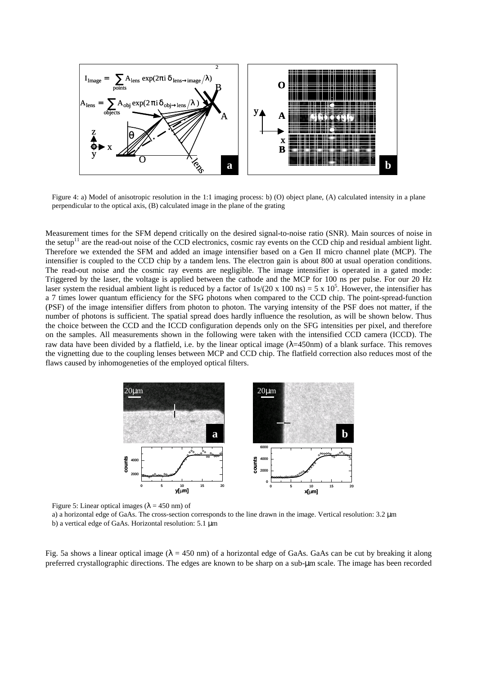

Figure 4: a) Model of anisotropic resolution in the 1:1 imaging process: b) (O) object plane, (A) calculated intensity in a plane perpendicular to the optical axis, (B) calculated image in the plane of the grating

Measurement times for the SFM depend critically on the desired signal-to-noise ratio (SNR). Main sources of noise in the setup<sup>11</sup> are the read-out noise of the CCD electronics, cosmic ray events on the CCD chip and residual ambient light. Therefore we extended the SFM and added an image intensifier based on a Gen II micro channel plate (MCP). The intensifier is coupled to the CCD chip by a tandem lens. The electron gain is about 800 at usual operation conditions. The read-out noise and the cosmic ray events are negligible. The image intensifier is operated in a gated mode: Triggered by the laser, the voltage is applied between the cathode and the MCP for 100 ns per pulse. For our 20 Hz laser system the residual ambient light is reduced by a factor of  $1s/(20 \times 100 \text{ ns}) = 5 \times 10^5$ . However, the intensifier has a 7 times lower quantum efficiency for the SFG photons when compared to the CCD chip. The point-spread-function (PSF) of the image intensifier differs from photon to photon. The varying intensity of the PSF does not matter, if the number of photons is sufficient. The spatial spread does hardly influence the resolution, as will be shown below. Thus the choice between the CCD and the ICCD configuration depends only on the SFG intensities per pixel, and therefore on the samples. All measurements shown in the following were taken with the intensified CCD camera (ICCD). The raw data have been divided by a flatfield, i.e. by the linear optical image  $(\lambda = 450$ nm) of a blank surface. This removes the vignetting due to the coupling lenses between MCP and CCD chip. The flatfield correction also reduces most of the flaws caused by inhomogeneties of the employed optical filters.



Figure 5: Linear optical images ( $\lambda = 450$  nm) of

a) a horizontal edge of GaAs. The cross-section corresponds to the line drawn in the image. Vertical resolution: 3.2 µm b) a vertical edge of GaAs. Horizontal resolution: 5.1 µm

Fig. 5a shows a linear optical image ( $\lambda = 450$  nm) of a horizontal edge of GaAs. GaAs can be cut by breaking it along preferred crystallographic directions. The edges are known to be sharp on a sub-µm scale. The image has been recorded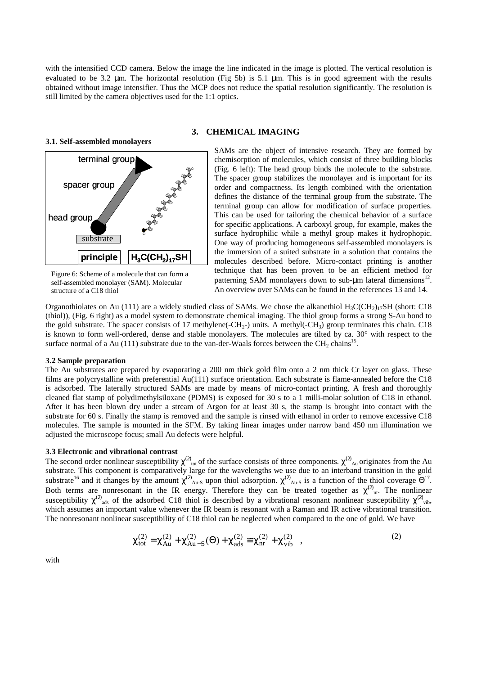with the intensified CCD camera. Below the image the line indicated in the image is plotted. The vertical resolution is evaluated to be 3.2 µm. The horizontal resolution (Fig 5b) is 5.1 µm. This is in good agreement with the results obtained without image intensifier. Thus the MCP does not reduce the spatial resolution significantly. The resolution is still limited by the camera objectives used for the 1:1 optics.

**3.1. Self-assembled monolayers** 



Figure 6: Scheme of a molecule that can form a self-assembled monolayer (SAM). Molecular structure of a C18 thiol

#### **3. CHEMICAL IMAGING**

SAMs are the object of intensive research. They are formed by chemisorption of molecules, which consist of three building blocks (Fig. 6 left): The head group binds the molecule to the substrate. The spacer group stabilizes the monolayer and is important for its order and compactness. Its length combined with the orientation defines the distance of the terminal group from the substrate. The terminal group can allow for modification of surface properties. This can be used for tailoring the chemical behavior of a surface for specific applications. A carboxyl group, for example, makes the surface hydrophilic while a methyl group makes it hydrophopic. One way of producing homogeneous self-assembled monolayers is the immersion of a suited substrate in a solution that contains the molecules described before. Micro-contact printing is another technique that has been proven to be an efficient method for patterning SAM monolayers down to sub- $\mu$ m lateral dimensions<sup>12</sup>. An overview over SAMs can be found in the references 13 and 14.

Organothiolates on Au (111) are a widely studied class of SAMs. We chose the alkanethiol  $H_3C(CH_2)_{17}SH$  (short: C18) (thiol)), (Fig. 6 right) as a model system to demonstrate chemical imaging. The thiol group forms a strong S-Au bond to the gold substrate. The spacer consists of 17 methylene(-CH<sub>2</sub>-) units. A methyl(-CH<sub>3</sub>) group terminates this chain. C18 is known to form well-ordered, dense and stable monolayers. The molecules are tilted by ca. 30° with respect to the surface normal of a Au (111) substrate due to the van-der-Waals forces between the  $\text{CH}_2$  chains<sup>15</sup>.

#### **3.2 Sample preparation**

The Au substrates are prepared by evaporating a 200 nm thick gold film onto a 2 nm thick Cr layer on glass. These films are polycrystalline with preferential Au(111) surface orientation. Each substrate is flame-annealed before the C18 is adsorbed. The laterally structured SAMs are made by means of micro-contact printing. A fresh and thoroughly cleaned flat stamp of polydimethylsiloxane (PDMS) is exposed for 30 s to a 1 milli-molar solution of C18 in ethanol. After it has been blown dry under a stream of Argon for at least 30 s, the stamp is brought into contact with the substrate for 60 s. Finally the stamp is removed and the sample is rinsed with ethanol in order to remove excessive C18 molecules. The sample is mounted in the SFM. By taking linear images under narrow band 450 nm illumination we adjusted the microscope focus; small Au defects were helpful.

#### **3.3 Electronic and vibrational contrast**

The second order nonlinear susceptibility  $\chi^{(2)}_{tot}$  of the surface consists of three components.  $\chi^{(2)}_{Au}$  originates from the Au substrate. This component is comparatively large for the wavelengths we use due to an interband transition in the gold substrate<sup>16</sup> and it changes by the amount  $\chi^{(2)}_{Au-S}$  upon thiol adsorption.  $\chi^{(2)}_{Au-S}$  is a function of the thiol coverage  $\Theta^{17}$ . Both terms are nonresonant in the IR energy. Therefore they can be treated together as  $\chi^{(2)}_{\text{nr}}$ . The nonlinear susceptibility  $\chi^{(2)}$ <sub>ads</sub> of the adsorbed C18 thiol is described by a vibrational resonant nonlinear susceptibility  $\chi^{(2)}$ <sub>vib</sub>, which assumes an important value whenever the IR beam is resonant with a Raman and IR active vibrational transition. The nonresonant nonlinear susceptibility of C18 thiol can be neglected when compared to the one of gold. We have

$$
\chi_{\text{tot}}^{(2)} = \chi_{\text{Au}}^{(2)} + \chi_{\text{Au-S}}^{(2)}(\Theta) + \chi_{\text{ads}}^{(2)} \cong \chi_{\text{nr}}^{(2)} + \chi_{\text{vib}}^{(2)} , \qquad (2)
$$

with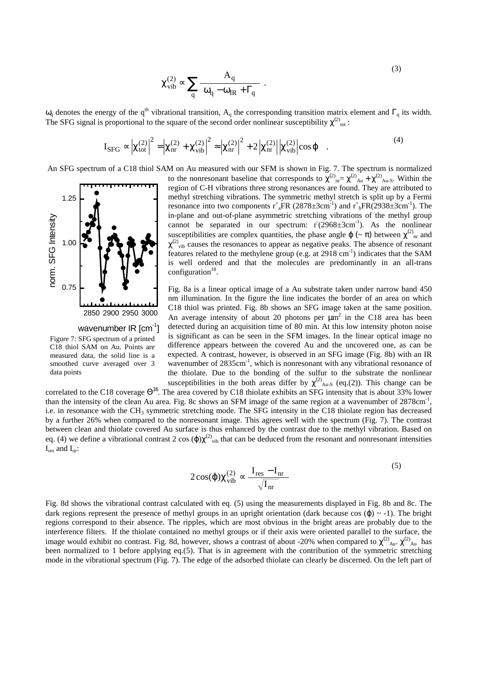$$
\chi_{\rm vib}^{(2)} \propto \sum_{\rm q} \frac{A_{\rm q}}{\omega_{\rm q} - \omega_{\rm IR} + \Gamma_{\rm q}} \ . \tag{3}
$$

 $ω<sub>q</sub>$  denotes the energy of the q<sup>th</sup> vibrational transition, A<sub>q</sub> the corresponding transition matrix element and Γ<sub>q</sub> its width. The SFG signal is proportional to the square of the second order nonlinear susceptibility  $\chi^{(2)}_{\text{tot}}$ :

$$
I_{\rm SFG} \propto \left| \chi_{\rm tot}^{(2)} \right|^2 = \left| \chi_{\rm nr}^{(2)} + \chi_{\rm vib}^{(2)} \right|^2 \approx \left| \chi_{\rm nr}^{(2)} \right|^2 + 2 \left| \chi_{\rm nr}^{(2)} \right| \left| \chi_{\rm vib}^{(2)} \right| \cos \varphi . \tag{4}
$$

An SFG spectrum of a C18 thiol SAM on Au measured with our SFM is shown in Fig. 7. The spectrum is normalized



Figure 7: SFG spectrum of a printed C18 thiol SAM on Au. Points are measured data, the solid line is a smoothed curve averaged over 3 data points

to the nonresonant baseline that corresponds to  $\chi^{(2)}_{\text{nr}} = \chi^{(2)}_{\text{Au}} + \chi^{(2)}_{\text{Au-S}}$ . Within the region of C-H vibrations three strong resonances are found. They are attributed to methyl stretching vibrations. The symmetric methyl stretch is split up by a Fermi resonance into two components  $r^*_{a}FR$  (2878 $\pm$ 3cm<sup>-1</sup>) and  $r^*_{b}FR$  (2938 $\pm$ 3cm<sup>-1</sup>). The in-plane and out-of-plane asymmetric stretching vibrations of the methyl group cannot be separated in our spectrum:  $r(2968 \pm 3 \text{cm}^{-1})$ . As the nonlinear susceptibilities are complex quantities, the phase angle  $\varphi$  ( $\sim \pi$ ) between  $\chi^{(2)}_{\text{nr}}$  and  $\chi^{(2)}$ <sub>vib</sub> causes the resonances to appear as negative peaks. The absence of resonant features related to the methylene group (e.g. at  $2918 \text{ cm}^{-1}$ ) indicates that the SAM is well ordered and that the molecules are predominantly in an all-trans configuration $18$ .

Fig. 8a is a linear optical image of a Au substrate taken under narrow band 450 nm illumination. In the figure the line indicates the border of an area on which C18 thiol was printed. Fig. 8b shows an SFG image taken at the same position. An average intensity of about 20 photons per  $\mu$ m<sup>2</sup> in the C18 area has been detected during an acquisition time of 80 min. At this low intensity photon noise is significant as can be seen in the SFM images. In the linear optical image no difference appears between the covered Au and the uncovered one, as can be expected. A contrast, however, is observed in an SFG image (Fig. 8b) with an IR wavenumber of 2835cm<sup>-1</sup>, which is nonresonant with any vibrational resonance of the thiolate. Due to the bonding of the sulfur to the substrate the nonlinear susceptibilities in the both areas differ by  $\chi^{(2)}_{Au-S}$  (eq.(2)). This change can be

correlated to the C18 coverage  $\Theta^{16}$ . The area covered by C18 thiolate exhibits an SFG intensity that is about 33% lower than the intensity of the clean Au area. Fig. 8c shows an SFM image of the same region at a wavenumber of 2878cm<sup>-1</sup>, i.e. in resonance with the CH<sub>3</sub> symmetric stretching mode. The SFG intensity in the C18 thiolate region has decreased by a further 26% when compared to the nonresonant image. This agrees well with the spectrum (Fig. 7). The contrast between clean and thiolate covered Au surface is thus enhanced by the contrast due to the methyl vibration. Based on eq. (4) we define a vibrational contrast 2 cos  $(\varphi)\chi^{(2)}$ <sub>vib</sub> that can be deduced from the resonant and nonresonant intensities  $I_{res}$  and  $I_{nr}$ :

$$
2\cos(\varphi)\chi_{\text{vib}}^{(2)} \propto \frac{\mathbf{I}_{\text{res}} - \mathbf{I}_{\text{nr}}}{\sqrt{\mathbf{I}_{\text{nr}}}}
$$
(5)

Fig. 8d shows the vibrational contrast calculated with eq. (5) using the measurements displayed in Fig. 8b and 8c. The dark regions represent the presence of methyl groups in an upright orientation (dark because cos  $(\phi) \sim -1$ ). The bright regions correspond to their absence. The ripples, which are most obvious in the bright areas are probably due to the interference filters. If the thiolate contained no methyl groups or if their axis were oriented parallel to the surface, the image would exhibit no contrast. Fig. 8d, however, shows a contrast of about -20% when compared to  $\chi^{(2)}_{\text{Au}}$ .  $\chi^{(2)}_{\text{Au}}$  has been normalized to 1 before applying eq.(5). That is in agreement with the contribution of the symmetric stretching mode in the vibrational spectrum (Fig. 7). The edge of the adsorbed thiolate can clearly be discerned. On the left part of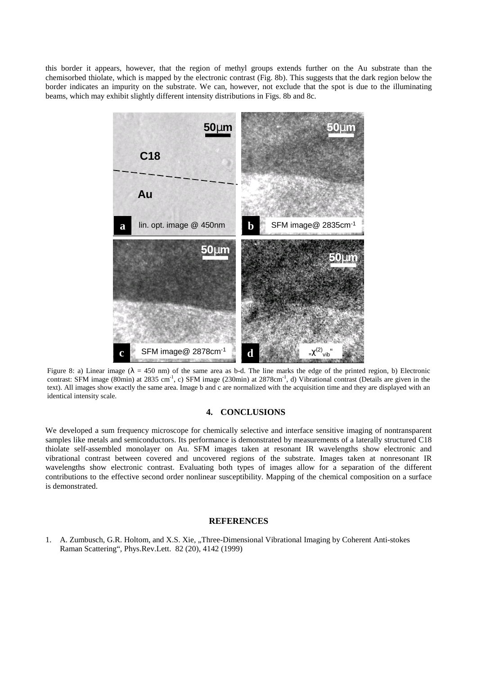this border it appears, however, that the region of methyl groups extends further on the Au substrate than the chemisorbed thiolate, which is mapped by the electronic contrast (Fig. 8b). This suggests that the dark region below the border indicates an impurity on the substrate. We can, however, not exclude that the spot is due to the illuminating beams, which may exhibit slightly different intensity distributions in Figs. 8b and 8c.



Figure 8: a) Linear image ( $\lambda = 450$  nm) of the same area as b-d. The line marks the edge of the printed region, b) Electronic contrast: SFM image (80min) at 2835 cm<sup>-1</sup>, c) SFM image (230min) at 2878cm<sup>-1</sup>, d) Vibrational contrast (Details are given in the text). All images show exactly the same area. Image b and c are normalized with the acquisition time and they are displayed with an identical intensity scale.

## **4. CONCLUSIONS**

We developed a sum frequency microscope for chemically selective and interface sensitive imaging of nontransparent samples like metals and semiconductors. Its performance is demonstrated by measurements of a laterally structured C18 thiolate self-assembled monolayer on Au. SFM images taken at resonant IR wavelengths show electronic and vibrational contrast between covered and uncovered regions of the substrate. Images taken at nonresonant IR wavelengths show electronic contrast. Evaluating both types of images allow for a separation of the different contributions to the effective second order nonlinear susceptibility. Mapping of the chemical composition on a surface is demonstrated.

## **REFERENCES**

1. A. Zumbusch, G.R. Holtom, and X.S. Xie, "Three-Dimensional Vibrational Imaging by Coherent Anti-stokes Raman Scattering", Phys.Rev.Lett. 82 (20), 4142 (1999)